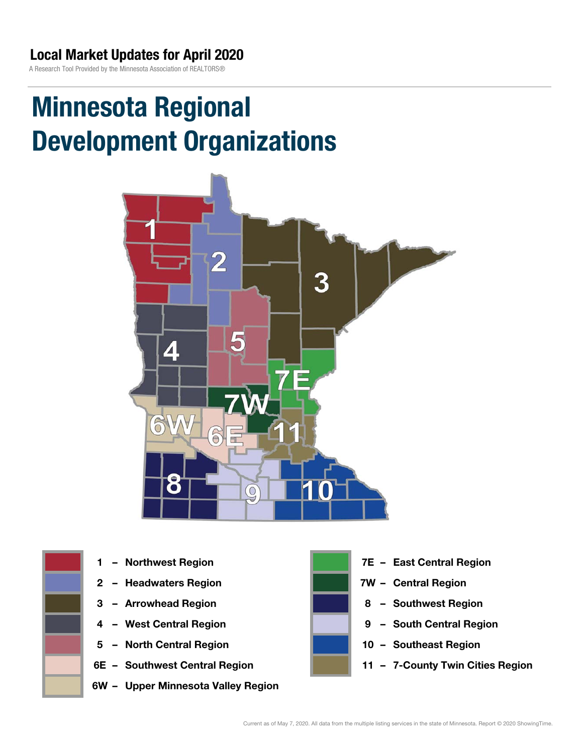A Research Tool Provided by the Minnesota Association of REALTORS®

# Minnesota Regional Development Organizations







- 
- 
- 
- 5 North Central Region 10 Southeast Region
- 6E Southwest Central Region **11 7-County Twin Cities Region**
- 6W Upper Minnesota Valley Region



- 1 Northwest Region **1 1999 12 Property Contral Region**
- 2 Headwaters Region **1988 7W Central Region**
- 3 Arrowhead Region **8 Southwest Region**
- 4 West Central Region **19 South Central Region** 
	-
	-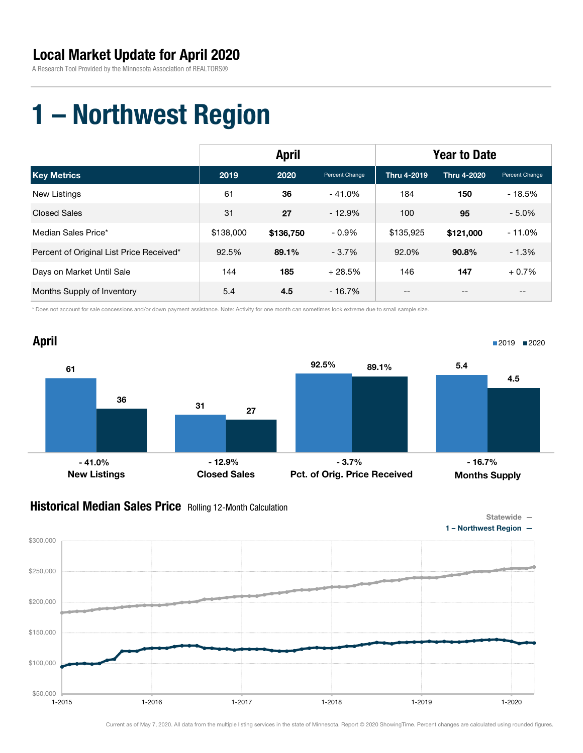A Research Tool Provided by the Minnesota Association of REALTORS®

## 1 – Northwest Region

|                                          | <b>April</b> |           |                | <b>Year to Date</b> |             |                |
|------------------------------------------|--------------|-----------|----------------|---------------------|-------------|----------------|
| <b>Key Metrics</b>                       | 2019         | 2020      | Percent Change | Thru 4-2019         | Thru 4-2020 | Percent Change |
| New Listings                             | 61           | 36        | $-41.0%$       | 184                 | 150         | $-18.5%$       |
| <b>Closed Sales</b>                      | 31           | 27        | $-12.9%$       | 100                 | 95          | $-5.0%$        |
| Median Sales Price*                      | \$138,000    | \$136,750 | $-0.9\%$       | \$135,925           | \$121,000   | $-11.0%$       |
| Percent of Original List Price Received* | 92.5%        | 89.1%     | $-3.7%$        | 92.0%               | 90.8%       | $-1.3%$        |
| Days on Market Until Sale                | 144          | 185       | $+28.5%$       | 146                 | 147         | $+0.7%$        |
| Months Supply of Inventory               | 5.4          | 4.5       | $-16.7\%$      | --                  | --          | $- -$          |

\* Does not account for sale concessions and/or down payment assistance. Note: Activity for one month can sometimes look extreme due to small sample size.



### **Historical Median Sales Price** Rolling 12-Month Calculation

 $$50,000$   $-2015$ 

\$100,000

\$150,000

\$200,000

\$250,000

\$300,000





Current as of May 7, 2020. All data from the multiple listing services in the state of Minnesota. Report © 2020 ShowingTime. Percent changes are calculated using rounded figures.

1-2015 1-2016 1-2017 1-2018 1-2019 1-2020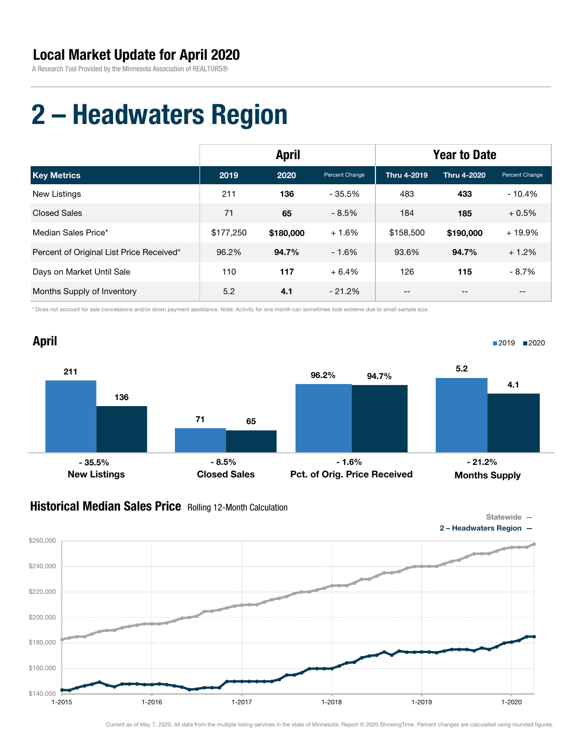A Research Tool Provided by the Minnesota Association of REALTORS®

# 2 – Headwaters Region

|                                          | <b>April</b> |           |                | <b>Year to Date</b> |                    |                   |
|------------------------------------------|--------------|-----------|----------------|---------------------|--------------------|-------------------|
| <b>Key Metrics</b>                       | 2019         | 2020      | Percent Change | Thru 4-2019         | <b>Thru 4-2020</b> | Percent Change    |
| New Listings                             | 211          | 136       | $-35.5\%$      | 483                 | 433                | $-10.4%$          |
| <b>Closed Sales</b>                      | 71           | 65        | $-8.5%$        | 184                 | 185                | $+0.5%$           |
| Median Sales Price*                      | \$177,250    | \$180,000 | $+1.6%$        | \$158,500           | \$190,000          | + 19.9%           |
| Percent of Original List Price Received* | 96.2%        | 94.7%     | $-1.6%$        | 93.6%               | 94.7%              | $+1.2%$           |
| Days on Market Until Sale                | 110          | 117       | $+6.4%$        | 126                 | 115                | $-8.7%$           |
| Months Supply of Inventory               | 5.2          | 4.1       | $-21.2\%$      | --                  | --                 | $\qquad \qquad -$ |

\* Does not account for sale concessions and/or down payment assistance. Note: Activity for one month can sometimes look extreme due to small sample size.



### **Historical Median Sales Price** Rolling 12-Month Calculation

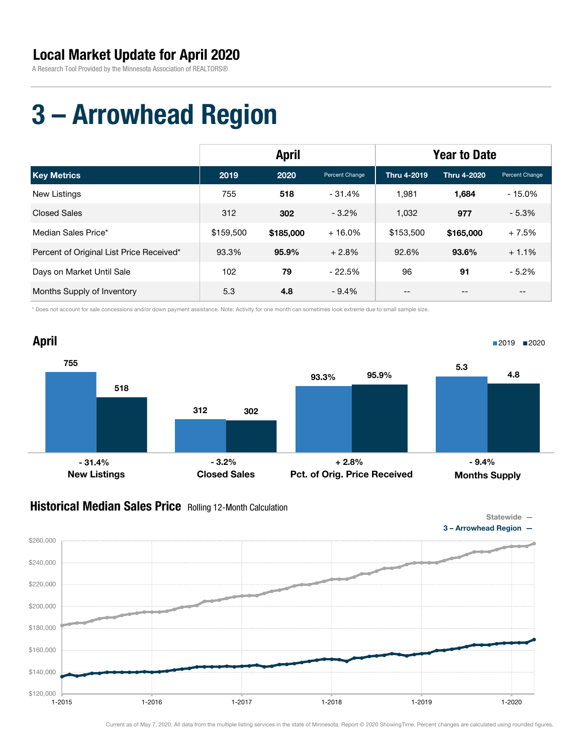A Research Tool Provided by the Minnesota Association of REALTORS®

# 3 – Arrowhead Region

|                                          | <b>April</b> |           |                | <b>Year to Date</b> |                    |                   |
|------------------------------------------|--------------|-----------|----------------|---------------------|--------------------|-------------------|
| <b>Key Metrics</b>                       | 2019         | 2020      | Percent Change | Thru 4-2019         | <b>Thru 4-2020</b> | Percent Change    |
| New Listings                             | 755          | 518       | - 31.4%        | 1.981               | 1,684              | $-15.0%$          |
| <b>Closed Sales</b>                      | 312          | 302       | $-3.2%$        | 1,032               | 977                | $-5.3%$           |
| Median Sales Price*                      | \$159,500    | \$185,000 | $+16.0%$       | \$153,500           | \$165,000          | $+7.5%$           |
| Percent of Original List Price Received* | 93.3%        | 95.9%     | $+2.8%$        | 92.6%               | 93.6%              | $+1.1%$           |
| Days on Market Until Sale                | 102          | 79        | $-22.5%$       | 96                  | 91                 | $-5.2%$           |
| Months Supply of Inventory               | 5.3          | 4.8       | $-9.4%$        | --                  | --                 | $\qquad \qquad -$ |

\* Does not account for sale concessions and/or down payment assistance. Note: Activity for one month can sometimes look extreme due to small sample size.



#### **Historical Median Sales Price** Rolling 12-Month Calculation

\$120,000

\$140,000

\$160,000

\$180,000

\$200,000

\$220,000

\$240,000

\$260,000



1-2015 1-2016 1-2017 1-2018 1-2019 1-2020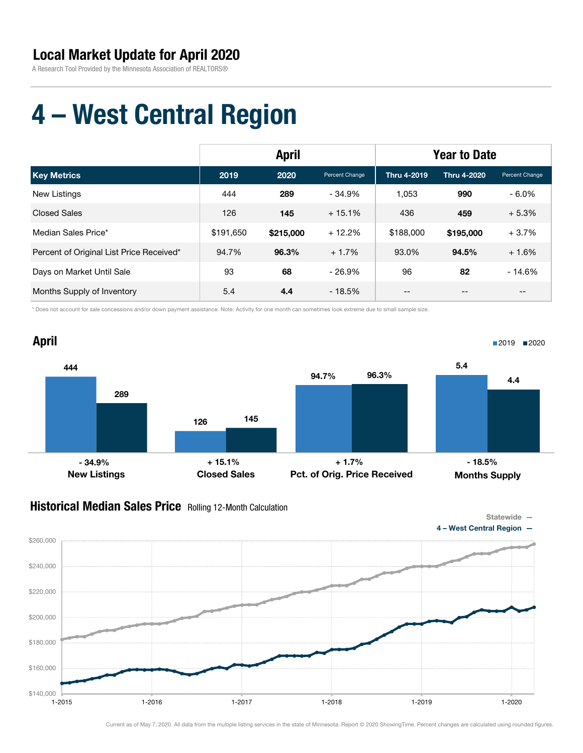A Research Tool Provided by the Minnesota Association of REALTORS®

# 4 – West Central Region

|                                          | <b>April</b> |           |                | <b>Year to Date</b> |             |                |
|------------------------------------------|--------------|-----------|----------------|---------------------|-------------|----------------|
| <b>Key Metrics</b>                       | 2019         | 2020      | Percent Change | Thru 4-2019         | Thru 4-2020 | Percent Change |
| New Listings                             | 444          | 289       | $-34.9%$       | 1.053               | 990         | $-6.0\%$       |
| <b>Closed Sales</b>                      | 126          | 145       | $+15.1%$       | 436                 | 459         | $+5.3%$        |
| Median Sales Price*                      | \$191.650    | \$215,000 | $+12.2%$       | \$188,000           | \$195,000   | $+3.7%$        |
| Percent of Original List Price Received* | 94.7%        | 96.3%     | $+1.7%$        | 93.0%               | 94.5%       | $+1.6%$        |
| Days on Market Until Sale                | 93           | 68        | $-26.9%$       | 96                  | 82          | $-14.6%$       |
| Months Supply of Inventory               | 5.4          | 4.4       | $-18.5%$       | --                  | --          | $- -$          |

\* Does not account for sale concessions and/or down payment assistance. Note: Activity for one month can sometimes look extreme due to small sample size.



### **Historical Median Sales Price** Rolling 12-Month Calculation

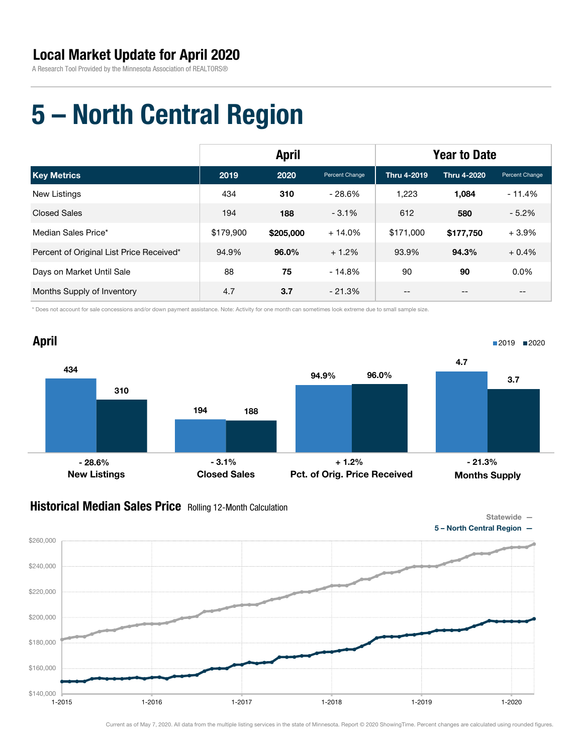A Research Tool Provided by the Minnesota Association of REALTORS®

# 5 – North Central Region

|                                          | <b>April</b> |           |                | <b>Year to Date</b> |                    |                   |
|------------------------------------------|--------------|-----------|----------------|---------------------|--------------------|-------------------|
| <b>Key Metrics</b>                       | 2019         | 2020      | Percent Change | Thru 4-2019         | <b>Thru 4-2020</b> | Percent Change    |
| <b>New Listings</b>                      | 434          | 310       | $-28.6%$       | 1,223               | 1,084              | $-11.4%$          |
| <b>Closed Sales</b>                      | 194          | 188       | $-3.1%$        | 612                 | 580                | $-5.2%$           |
| Median Sales Price*                      | \$179,900    | \$205,000 | $+14.0%$       | \$171,000           | \$177,750          | $+3.9%$           |
| Percent of Original List Price Received* | 94.9%        | 96.0%     | $+1.2%$        | 93.9%               | 94.3%              | $+0.4%$           |
| Days on Market Until Sale                | 88           | 75        | $-14.8%$       | 90                  | 90                 | 0.0%              |
| Months Supply of Inventory               | 4.7          | 3.7       | $-21.3%$       | --                  | --                 | $\qquad \qquad -$ |

\* Does not account for sale concessions and/or down payment assistance. Note: Activity for one month can sometimes look extreme due to small sample size.



### **Historical Median Sales Price** Rolling 12-Month Calculation



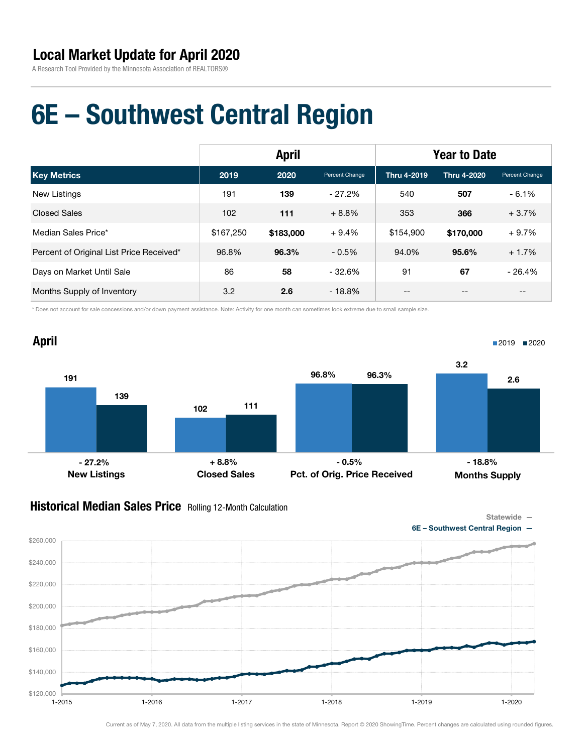A Research Tool Provided by the Minnesota Association of REALTORS®

## 6E – Southwest Central Region

|                                          | <b>April</b> |           |                | <b>Year to Date</b> |                    |                   |
|------------------------------------------|--------------|-----------|----------------|---------------------|--------------------|-------------------|
| <b>Key Metrics</b>                       | 2019         | 2020      | Percent Change | <b>Thru 4-2019</b>  | <b>Thru 4-2020</b> | Percent Change    |
| <b>New Listings</b>                      | 191          | 139       | $-27.2%$       | 540                 | 507                | $-6.1%$           |
| <b>Closed Sales</b>                      | 102          | 111       | $+8.8%$        | 353                 | 366                | $+3.7%$           |
| Median Sales Price*                      | \$167,250    | \$183,000 | $+9.4%$        | \$154,900           | \$170,000          | $+9.7%$           |
| Percent of Original List Price Received* | 96.8%        | 96.3%     | $-0.5%$        | 94.0%               | 95.6%              | $+1.7%$           |
| Days on Market Until Sale                | 86           | 58        | $-32.6%$       | 91                  | 67                 | $-26.4%$          |
| Months Supply of Inventory               | 3.2          | 2.6       | $-18.8%$       | $- -$               | --                 | $\qquad \qquad -$ |

\* Does not account for sale concessions and/or down payment assistance. Note: Activity for one month can sometimes look extreme due to small sample size.



### Historical Median Sales Price Rolling 12-Month Calculation





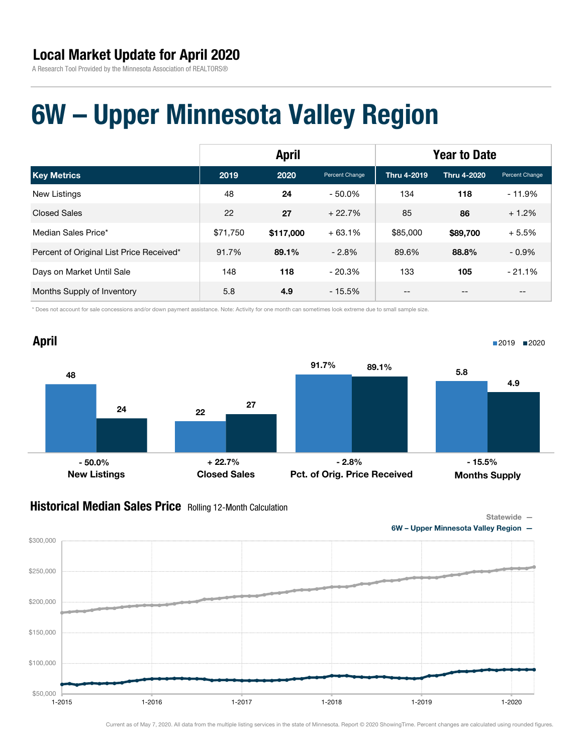A Research Tool Provided by the Minnesota Association of REALTORS®

## 6W – Upper Minnesota Valley Region

|                                          | <b>April</b> |           |                | <b>Year to Date</b> |                    |                |
|------------------------------------------|--------------|-----------|----------------|---------------------|--------------------|----------------|
| <b>Key Metrics</b>                       | 2019         | 2020      | Percent Change | Thru 4-2019         | <b>Thru 4-2020</b> | Percent Change |
| New Listings                             | 48           | 24        | $-50.0\%$      | 134                 | 118                | $-11.9%$       |
| <b>Closed Sales</b>                      | 22           | 27        | $+22.7%$       | 85                  | 86                 | $+1.2%$        |
| Median Sales Price*                      | \$71.750     | \$117,000 | $+63.1%$       | \$85,000            | \$89,700           | $+5.5%$        |
| Percent of Original List Price Received* | 91.7%        | 89.1%     | $-2.8\%$       | 89.6%               | 88.8%              | $-0.9%$        |
| Days on Market Until Sale                | 148          | 118       | $-20.3%$       | 133                 | 105                | $-21.1%$       |
| Months Supply of Inventory               | 5.8          | 4.9       | $-15.5\%$      | --                  |                    | $-$            |

\* Does not account for sale concessions and/or down payment assistance. Note: Activity for one month can sometimes look extreme due to small sample size.



### Historical Median Sales Price Rolling 12-Month Calculation

Statewide —



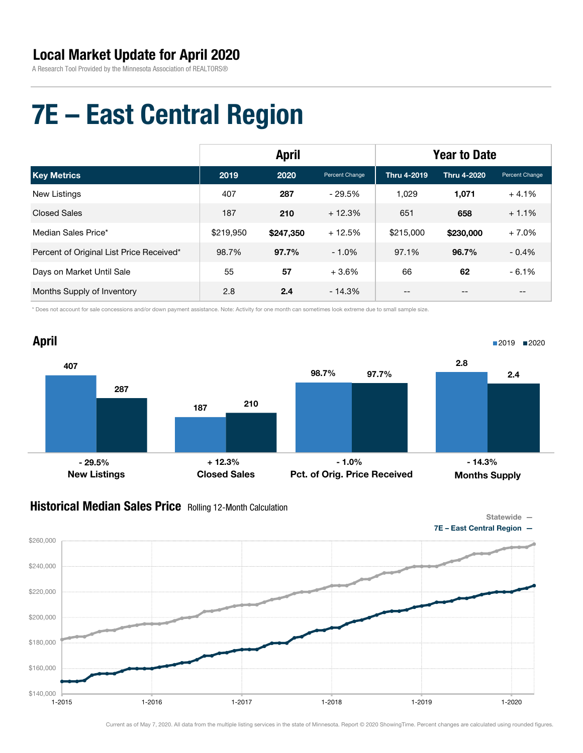A Research Tool Provided by the Minnesota Association of REALTORS®

# 7E – East Central Region

|                                          | <b>April</b> |           |                | <b>Year to Date</b> |             |                   |
|------------------------------------------|--------------|-----------|----------------|---------------------|-------------|-------------------|
| <b>Key Metrics</b>                       | 2019         | 2020      | Percent Change | <b>Thru 4-2019</b>  | Thru 4-2020 | Percent Change    |
| <b>New Listings</b>                      | 407          | 287       | - 29.5%        | 1.029               | 1,071       | $+4.1%$           |
| <b>Closed Sales</b>                      | 187          | 210       | $+12.3%$       | 651                 | 658         | $+1.1%$           |
| Median Sales Price*                      | \$219,950    | \$247,350 | $+12.5%$       | \$215,000           | \$230,000   | $+7.0%$           |
| Percent of Original List Price Received* | 98.7%        | 97.7%     | $-1.0%$        | 97.1%               | 96.7%       | $-0.4%$           |
| Days on Market Until Sale                | 55           | 57        | $+3.6%$        | 66                  | 62          | $-6.1%$           |
| Months Supply of Inventory               | 2.8          | 2.4       | $-14.3%$       | --                  | --          | $\qquad \qquad -$ |

\* Does not account for sale concessions and/or down payment assistance. Note: Activity for one month can sometimes look extreme due to small sample size.



### **Historical Median Sales Price** Rolling 12-Month Calculation



7E - East Central Region

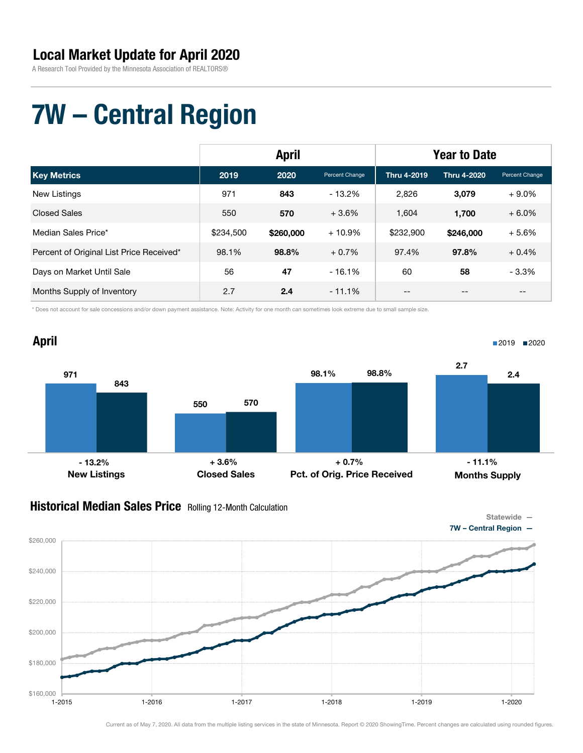A Research Tool Provided by the Minnesota Association of REALTORS®

# 7W – Central Region

|                                          | <b>April</b> |           |                | <b>Year to Date</b> |                    |                |
|------------------------------------------|--------------|-----------|----------------|---------------------|--------------------|----------------|
| <b>Key Metrics</b>                       | 2019         | 2020      | Percent Change | <b>Thru 4-2019</b>  | <b>Thru 4-2020</b> | Percent Change |
| New Listings                             | 971          | 843       | $-13.2\%$      | 2.826               | 3,079              | $+9.0\%$       |
| <b>Closed Sales</b>                      | 550          | 570       | $+3.6%$        | 1.604               | 1.700              | $+6.0%$        |
| Median Sales Price*                      | \$234,500    | \$260,000 | $+10.9%$       | \$232,900           | \$246,000          | $+5.6%$        |
| Percent of Original List Price Received* | 98.1%        | 98.8%     | $+0.7%$        | 97.4%               | 97.8%              | $+0.4%$        |
| Days on Market Until Sale                | 56           | 47        | $-16.1%$       | 60                  | 58                 | $-3.3%$        |
| Months Supply of Inventory               | 2.7          | 2.4       | $-11.1\%$      | --                  | --                 | --             |

\* Does not account for sale concessions and/or down payment assistance. Note: Activity for one month can sometimes look extreme due to small sample size.



### **Historical Median Sales Price** Rolling 12-Month Calculation

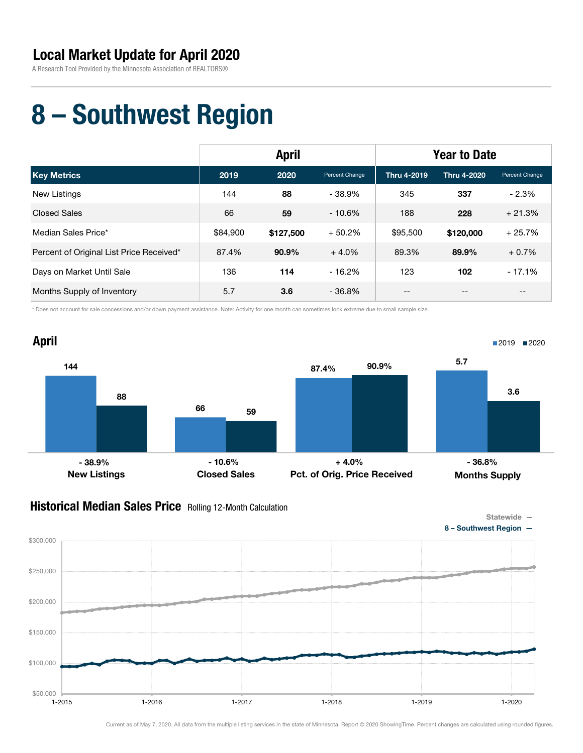A Research Tool Provided by the Minnesota Association of REALTORS®

# 8 – Southwest Region

|                                          | <b>April</b> |           |                | <b>Year to Date</b> |             |                |
|------------------------------------------|--------------|-----------|----------------|---------------------|-------------|----------------|
| <b>Key Metrics</b>                       | 2019         | 2020      | Percent Change | Thru 4-2019         | Thru 4-2020 | Percent Change |
| New Listings                             | 144          | 88        | $-38.9%$       | 345                 | 337         | $-2.3%$        |
| <b>Closed Sales</b>                      | 66           | 59        | $-10.6%$       | 188                 | 228         | $+21.3%$       |
| Median Sales Price*                      | \$84,900     | \$127,500 | $+50.2%$       | \$95,500            | \$120,000   | $+25.7%$       |
| Percent of Original List Price Received* | 87.4%        | $90.9\%$  | $+4.0%$        | 89.3%               | 89.9%       | $+0.7%$        |
| Days on Market Until Sale                | 136          | 114       | $-16.2\%$      | 123                 | 102         | $-17.1%$       |
| Months Supply of Inventory               | 5.7          | 3.6       | $-36.8\%$      | --                  |             | --             |

\* Does not account for sale concessions and/or down payment assistance. Note: Activity for one month can sometimes look extreme due to small sample size.



### **Historical Median Sales Price** Rolling 12-Month Calculation



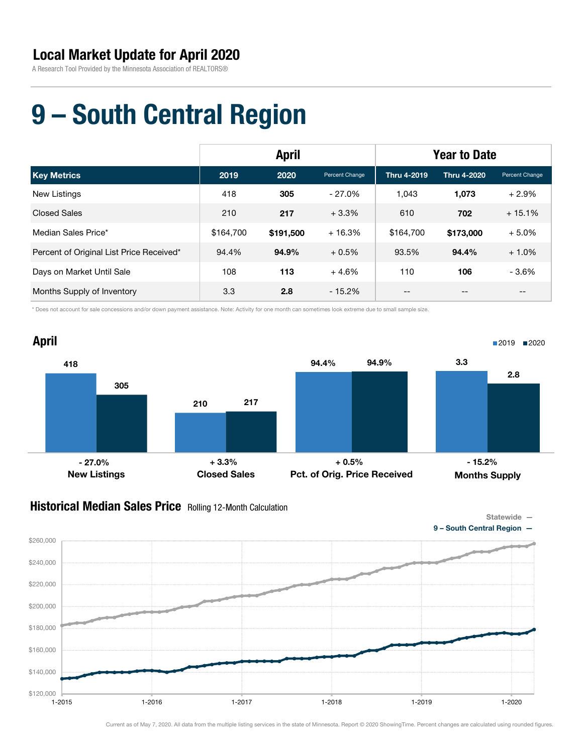A Research Tool Provided by the Minnesota Association of REALTORS®

# 9 – South Central Region

|                                          | <b>April</b> |           |                | <b>Year to Date</b> |                    |                   |
|------------------------------------------|--------------|-----------|----------------|---------------------|--------------------|-------------------|
| <b>Key Metrics</b>                       | 2019         | 2020      | Percent Change | Thru 4-2019         | <b>Thru 4-2020</b> | Percent Change    |
| <b>New Listings</b>                      | 418          | 305       | $-27.0%$       | 1.043               | 1,073              | $+2.9%$           |
| <b>Closed Sales</b>                      | 210          | 217       | $+3.3%$        | 610                 | 702                | $+15.1%$          |
| Median Sales Price*                      | \$164.700    | \$191,500 | $+16.3%$       | \$164.700           | \$173,000          | $+5.0%$           |
| Percent of Original List Price Received* | 94.4%        | 94.9%     | $+0.5%$        | 93.5%               | 94.4%              | $+1.0%$           |
| Days on Market Until Sale                | 108          | 113       | $+4.6%$        | 110                 | 106                | $-3.6%$           |
| Months Supply of Inventory               | 3.3          | 2.8       | $-15.2%$       | --                  | --                 | $\qquad \qquad -$ |

\* Does not account for sale concessions and/or down payment assistance. Note: Activity for one month can sometimes look extreme due to small sample size.



### **Historical Median Sales Price** Rolling 12-Month Calculation

\$120,000

\$140,000

\$160,000

\$180,000

\$200,000

\$220,000

\$240,000

\$260,000



Current as of May 7, 2020. All data from the multiple listing services in the state of Minnesota. Report © 2020 ShowingTime. Percent changes are calculated using rounded figures.

1-2015 1-2016 1-2017 1-2018 1-2019 1-2020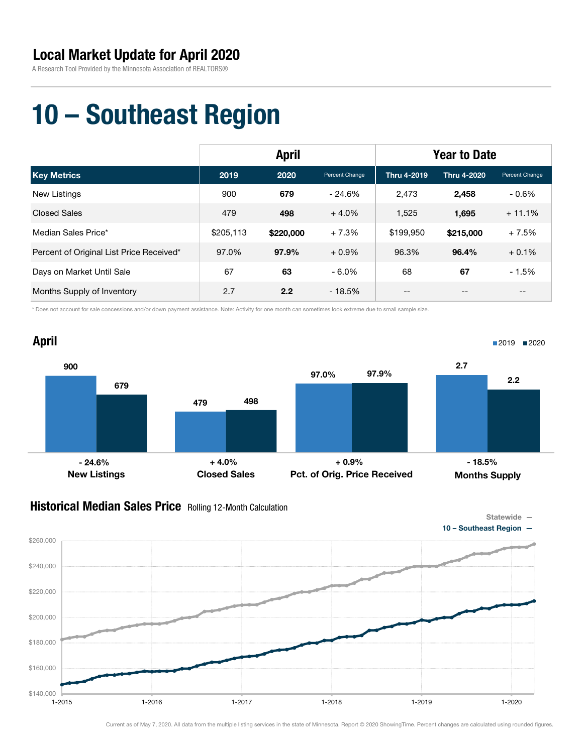A Research Tool Provided by the Minnesota Association of REALTORS®

# 10 – Southeast Region

|                                          | <b>April</b> |           |                | <b>Year to Date</b> |                    |                   |
|------------------------------------------|--------------|-----------|----------------|---------------------|--------------------|-------------------|
| <b>Key Metrics</b>                       | 2019         | 2020      | Percent Change | Thru 4-2019         | <b>Thru 4-2020</b> | Percent Change    |
| <b>New Listings</b>                      | 900          | 679       | $-24.6%$       | 2.473               | 2,458              | $-0.6\%$          |
| <b>Closed Sales</b>                      | 479          | 498       | $+4.0%$        | 1,525               | 1,695              | $+11.1%$          |
| Median Sales Price*                      | \$205,113    | \$220,000 | $+7.3%$        | \$199.950           | \$215,000          | $+7.5%$           |
| Percent of Original List Price Received* | 97.0%        | 97.9%     | $+0.9\%$       | 96.3%               | 96.4%              | $+0.1%$           |
| Days on Market Until Sale                | 67           | 63        | $-6.0\%$       | 68                  | 67                 | $-1.5%$           |
| Months Supply of Inventory               | 2.7          | 2.2       | $-18.5%$       | --                  | --                 | $\qquad \qquad -$ |

\* Does not account for sale concessions and/or down payment assistance. Note: Activity for one month can sometimes look extreme due to small sample size.



### **Historical Median Sales Price** Rolling 12-Month Calculation